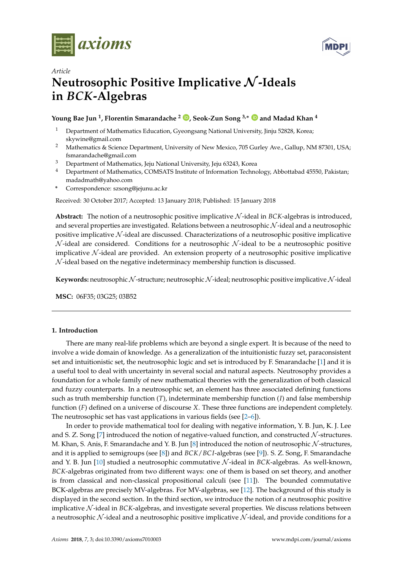



# *Article* **Neutrosophic Positive Implicative** N **-Ideals in** *BCK***-Algebras**

## **Young Bae Jun <sup>1</sup> , Florentin Smarandache <sup>2</sup> [,](https://orcid.org/0000-0002-5560-5926) Seok-Zun Song 3,**<sup>∗</sup> **and Madad Khan <sup>4</sup>**

- <sup>1</sup> Department of Mathematics Education, Gyeongsang National University, Jinju 52828, Korea; skywine@gmail.com
- <sup>2</sup> Mathematics & Science Department, University of New Mexico, 705 Gurley Ave., Gallup, NM 87301, USA; fsmarandache@gmail.com
- <sup>3</sup> Department of Mathematics, Jeju National University, Jeju 63243, Korea
- <sup>4</sup> Department of Mathematics, COMSATS Institute of Information Technology, Abbottabad 45550, Pakistan; madadmath@yahoo.com
- **\*** Correspondence: szsong@jejunu.ac.kr

Received: 30 October 2017; Accepted: 13 January 2018; Published: 15 January 2018

**Abstract:** The notion of a neutrosophic positive implicative N -ideal in *BCK*-algebras is introduced, and several properties are investigated. Relations between a neutrosophic N-ideal and a neutrosophic positive implicative  $\mathcal N$ -ideal are discussed. Characterizations of a neutrosophic positive implicative  $N$ -ideal are considered. Conditions for a neutrosophic  $N$ -ideal to be a neutrosophic positive implicative  $\mathcal N$ -ideal are provided. An extension property of a neutrosophic positive implicative N -ideal based on the negative indeterminacy membership function is discussed.

**Keywords:** neutrosophic N-structure; neutrosophic N-ideal; neutrosophic positive implicative N-ideal

**MSC:** 06F35; 03G25; 03B52

#### **1. Introduction**

There are many real-life problems which are beyond a single expert. It is because of the need to involve a wide domain of knowledge. As a generalization of the intuitionistic fuzzy set, paraconsistent set and intuitionistic set, the neutrosophic logic and set is introduced by F. Smarandache [\[1\]](#page-12-0) and it is a useful tool to deal with uncertainty in several social and natural aspects. Neutrosophy provides a foundation for a whole family of new mathematical theories with the generalization of both classical and fuzzy counterparts. In a neutrosophic set, an element has three associated defining functions such as truth membership function (*T*), indeterminate membership function (*I*) and false membership function (*F*) defined on a universe of discourse *X*. These three functions are independent completely. The neutrosophic set has vast applications in various fields (see [\[2–](#page-12-1)[6\]](#page-12-2)).

In order to provide mathematical tool for dealing with negative information, Y. B. Jun, K. J. Lee and S. Z. Song [\[7\]](#page-12-3) introduced the notion of negative-valued function, and constructed  $N$ -structures. M. Khan, S. Anis, F. Smarandache and Y. B. Jun [\[8\]](#page-12-4) introduced the notion of neutrosophic  $\mathcal N$ -structures, and it is applied to semigroups (see [\[8\]](#page-12-4)) and *BCK*/*BC I*-algebras (see [\[9\]](#page-12-5)). S. Z. Song, F. Smarandache and Y. B. Jun [\[10\]](#page-12-6) studied a neutrosophic commutative N -ideal in *BCK*-algebras. As well-known, *BCK*-algebras originated from two different ways: one of them is based on set theory, and another is from classical and non-classical propositional calculi (see [\[11\]](#page-12-7)). The bounded commutative BCK-algebras are precisely MV-algebras. For MV-algebras, see [\[12\]](#page-12-8). The background of this study is displayed in the second section. In the third section, we introduce the notion of a neutrosophic positive implicative N -ideal in *BCK*-algebras, and investigate several properties. We discuss relations between a neutrosophic  $N$ -ideal and a neutrosophic positive implicative  $N$ -ideal, and provide conditions for a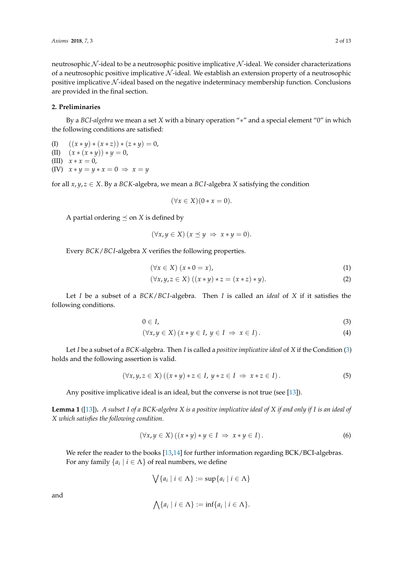neutrosophic  $N$ -ideal to be a neutrosophic positive implicative  $N$ -ideal. We consider characterizations of a neutrosophic positive implicative  $N$ -ideal. We establish an extension property of a neutrosophic positive implicative  $\mathcal N$ -ideal based on the negative indeterminacy membership function. Conclusions are provided in the final section.

## **2. Preliminaries**

By a *BCI-algebra* we mean a set *X* with a binary operation "∗" and a special element "0" in which the following conditions are satisfied:

- (I)  $((x * y) * (x * z)) * (z * y) = 0,$
- (II)  $(x * (x * y)) * y = 0,$
- (III)  $x * x = 0$ ,
- (IV)  $x * y = y * x = 0 \Rightarrow x = y$

for all  $x, y, z \in X$ . By a *BCK*-algebra, we mean a *BCI*-algebra *X* satisfying the condition

$$
(\forall x \in X)(0 * x = 0).
$$

A partial ordering  $\preceq$  on *X* is defined by

$$
(\forall x, y \in X) (x \preceq y \implies x * y = 0).
$$

Every *BCK*/*BC I*-algebra *X* verifies the following properties.

<span id="page-1-1"></span>
$$
(\forall x \in X) (x * 0 = x), \tag{1}
$$

<span id="page-1-0"></span>
$$
(\forall x, y, z \in X) ((x * y) * z = (x * z) * y).
$$
 (2)

Let *I* be a subset of a *BCK*/*BC I*-algebra. Then *I* is called an *ideal* of *X* if it satisfies the following conditions.

$$
0 \in I,\tag{3}
$$

$$
(\forall x, y \in X) (x * y \in I, y \in I \Rightarrow x \in I).
$$
\n(4)

Let *I* be a subset of a *BCK*-algebra. Then *I* is called a *positive implicative ideal* of *X* if the Condition [\(3\)](#page-1-0) holds and the following assertion is valid.

$$
(\forall x, y, z \in X) ((x * y) * z \in I, y * z \in I \Rightarrow x * z \in I).
$$
\n
$$
(5)
$$

Any positive implicative ideal is an ideal, but the converse is not true (see [\[13\]](#page-12-9)).

<span id="page-1-2"></span>**Lemma 1** ([\[13\]](#page-12-9))**.** *A subset I of a BCK-algebra X is a positive implicative ideal of X if and only if I is an ideal of X which satisfies the following condition.*

$$
(\forall x, y \in X) ((x * y) * y \in I \Rightarrow x * y \in I).
$$
 (6)

We refer the reader to the books [\[13,](#page-12-9)[14\]](#page-12-10) for further information regarding BCK/BCI-algebras. For any family  $\{a_i \mid i \in \Lambda\}$  of real numbers, we define

$$
\bigvee \{a_i \mid i \in \Lambda\} := \sup \{a_i \mid i \in \Lambda\}
$$

and

$$
\bigwedge \{a_i \mid i \in \Lambda\} := \inf \{a_i \mid i \in \Lambda\}.
$$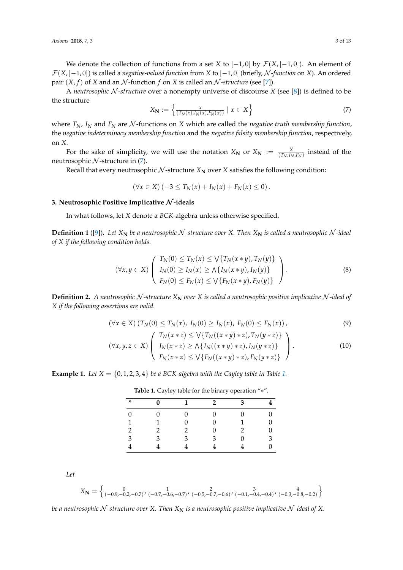We denote the collection of functions from a set *X* to  $[-1,0]$  by  $\mathcal{F}(X, [-1,0])$ . An element of F(*X*, [−1, 0]) is called a *negative-valued function* from *X* to [−1, 0] (briefly, N *-function* on *X*). An ordered pair  $(X, f)$  of *X* and an *N*-function *f* on *X* is called an *N*-structure (see [\[7\]](#page-12-3)).

A *neutrosophic* N *-structure* over a nonempty universe of discourse *X* (see [\[8\]](#page-12-4)) is defined to be the structure

<span id="page-2-0"></span>
$$
X_{\mathbf{N}} := \left\{ \frac{x}{(T_N(x), I_N(x), F_N(x))} \mid x \in X \right\}
$$
 (7)

where  $T_N$ ,  $I_N$  and  $F_N$  are N-functions on X which are called the *negative truth membership function*, the *negative indeterminacy membership function* and the *negative falsity membership function*, respectively, on *X*.

For the sake of simplicity, we will use the notation  $X_N$  or  $X_N := \frac{X}{(T_N, I_N, F_N)}$  instead of the neutrosophic  $N$ -structure in  $(7)$ .

Recall that every neutrosophic  $N$ -structure  $X_N$  over  $X$  satisfies the following condition:

<span id="page-2-4"></span>
$$
(\forall x \in X) (-3 \le T_N(x) + I_N(x) + F_N(x) \le 0).
$$

## **3. Neutrosophic Positive Implicative** N **-ideals**

In what follows, let *X* denote a *BCK*-algebra unless otherwise specified.

**Definition 1** ([\[9\]](#page-12-5)). Let  $X_N$  be a neutrosophic N-structure over X. Then  $X_N$  is called a neutrosophic N-ideal *of X if the following condition holds.*

$$
(\forall x, y \in X) \left( \begin{array}{c} T_N(0) \le T_N(x) \le \sqrt{T_N(x \ast y)}, T_N(y) \\ I_N(0) \ge I_N(x) \ge \sqrt{T_N(x \ast y)}, I_N(y) \\ F_N(0) \le F_N(x) \le \sqrt{T_N(x \ast y)}, F_N(y) \end{array} \right). \tag{8}
$$

**Definition 2.** A neutrosophic N-structure  $X_N$  over  $X$  is called a neutrosophic positive implicative N-ideal of *X if the following assertions are valid.*

$$
(\forall x \in X) (T_N(0) \le T_N(x), I_N(0) \ge I_N(x), F_N(0) \le F_N(x)), \tag{9}
$$

$$
(\forall x, y, z \in X) \left( \begin{array}{c} T_N(x * z) \leq \sqrt{T_N((x * y) * z)}, T_N(y * z) \\ I_N(x * z) \geq \sqrt{T_N((x * y) * z)}, I_N(y * z) \\ F_N(x * z) \leq \sqrt{T_N((x * y) * z)}, F_N(y * z) \end{array} \right). \tag{10}
$$

<span id="page-2-1"></span>**Example [1.](#page-2-1)** Let  $X = \{0, 1, 2, 3, 4\}$  *be a BCK-algebra with the Cayley table in Table 1.* 

| $\ast$        | $\Omega$     | $\blacksquare$ | $\overline{\mathbf{2}}$ | $\overline{\mathbf{3}}$ |   |
|---------------|--------------|----------------|-------------------------|-------------------------|---|
| $\Omega$      | <sup>0</sup> | $\Omega$       | $\Omega$                | $\Omega$                |   |
| $\mathbf{1}$  |              |                |                         |                         |   |
| $\mathcal{P}$ |              | 2              |                         | 2                       |   |
| 3             | ς            | 3              | 3                       |                         | ٦ |
|               |              |                |                         |                         |   |

<span id="page-2-3"></span><span id="page-2-2"></span>**Table 1.** Cayley table for the binary operation "∗".

*Let*

$$
X_{\mathbf{N}} = \left\{ \frac{0}{(-0.9, -0.2, -0.7)}, \frac{1}{(-0.7, -0.6, -0.7)}, \frac{2}{(-0.5, -0.7, -0.6)}, \frac{3}{(-0.1, -0.4, -0.4)}, \frac{4}{(-0.3, -0.8, -0.2)} \right\}
$$

*be a neutrosophic*  $N$ -structure over X. Then  $X_N$  is a neutrosophic positive implicative  $N$ -ideal of X.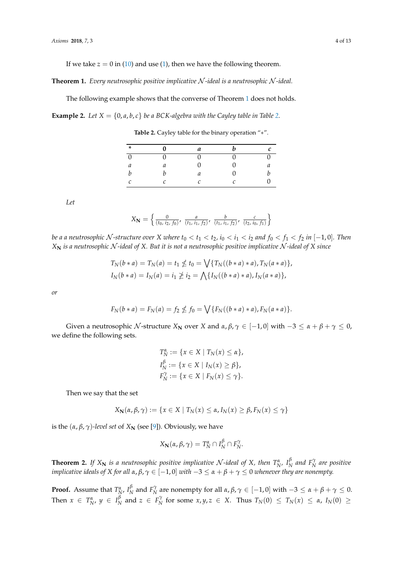If we take  $z = 0$  in [\(10\)](#page-2-2) and use [\(1\)](#page-1-1), then we have the following theorem.

<span id="page-3-0"></span>**Theorem 1.** *Every neutrosophic positive implicative* N *-ideal is a neutrosophic* N *-ideal.*

The following example shows that the converse of Theorem [1](#page-3-0) does not holds.

<span id="page-3-1"></span>**Example [2.](#page-3-1)** Let  $X = \{0, a, b, c\}$  be a BCK-algebra with the Cayley table in Table 2.

**Table 2.** Cayley table for the binary operation "∗".

| ∗                | 0 | a | n | r |
|------------------|---|---|---|---|
| $\theta$         |   |   |   |   |
| $\mathfrak a$    | а |   |   |   |
| $\boldsymbol{b}$ |   | а |   |   |
| C                | r |   |   |   |

*Let*

$$
X_{\mathbf{N}} = \left\{ \frac{0}{(t_0, i_2, f_0)}, \frac{a}{(t_1, i_1, f_2)}, \frac{b}{(t_1, i_1, f_2)}, \frac{c}{(t_2, i_0, f_1)} \right\}
$$

be a a neutrosophic N-structure over X where  $t_0 < t_1 < t_2$ ,  $i_0 < i_1 < i_2$  and  $f_0 < f_1 < f_2$  in  $[-1,0]$ . Then *X***<sup>N</sup>** *is a neutrosophic* N *-ideal of X. But it is not a neutrosophic positive implicative* N *-ideal of X since*

$$
T_N(b * a) = T_N(a) = t_1 \nleq t_0 = \bigvee \{ T_N((b * a) * a), T_N(a * a) \},
$$
  
\n
$$
I_N(b * a) = I_N(a) = i_1 \nleq i_2 = \bigwedge \{ I_N((b * a) * a), I_N(a * a) \},
$$

*or*

$$
F_N(b * a) = F_N(a) = f_2 \nleq f_0 = \bigvee \{ F_N((b * a) * a), F_N(a * a) \}.
$$

Given a neutrosophic N-structure  $X_N$  over  $X$  and  $\alpha, \beta, \gamma \in [-1, 0]$  with  $-3 \leq \alpha + \beta + \gamma \leq 0$ , we define the following sets.

$$
T_N^{\alpha} := \{ x \in X \mid T_N(x) \le \alpha \},
$$
  
\n
$$
I_N^{\beta} := \{ x \in X \mid I_N(x) \ge \beta \},
$$
  
\n
$$
F_N^{\gamma} := \{ x \in X \mid F_N(x) \le \gamma \}.
$$

Then we say that the set

$$
X_{\mathbf{N}}(\alpha,\beta,\gamma) := \{x \in X \mid T_{N}(x) \leq \alpha, I_{N}(x) \geq \beta, F_{N}(x) \leq \gamma\}
$$

is the  $(α, β, γ)$ *-level set* of  $X_N$  (see [\[9\]](#page-12-5)). Obviously, we have

$$
X_{\mathbf{N}}(\alpha,\beta,\gamma)=T_{N}^{\alpha}\cap I_{N}^{\beta}\cap F_{N}^{\gamma}.
$$

<span id="page-3-2"></span>**Theorem 2.** *If*  $X_N$  *is a neutrosophic positive implicative*  $N$ -ideal of  $X$ *, then*  $T_N^{\alpha}$ ,  $I_N^{\beta}$  $N \overline{N}$  and  $F_N^{\gamma}$  are positive *implicative ideals of X for all α*, *β*, *γ* ∈ [−1, 0] *with* −3 ≤ *α* + *β* + *γ* ≤ 0 *whenever they are nonempty.*

**Proof.** Assume that  $T_N^{\alpha}$ ,  $I_N^{\beta}$  $\frac{\beta}{N}$  and  $F_N^{\gamma}$  are nonempty for all *α*,  $\beta$ ,  $\gamma \in [-1, 0]$  with  $-3 \leq \alpha + \beta + \gamma \leq 0$ . Then  $x \in T_N^{\alpha}$ ,  $y \in I_N^{\beta}$  $\frac{\beta}{N}$  and  $z \in F_N^{\gamma}$  for some  $x, y, z \in X$ . Thus  $T_N(0) \leq T_N(x) \leq \alpha$ ,  $I_N(0) \geq$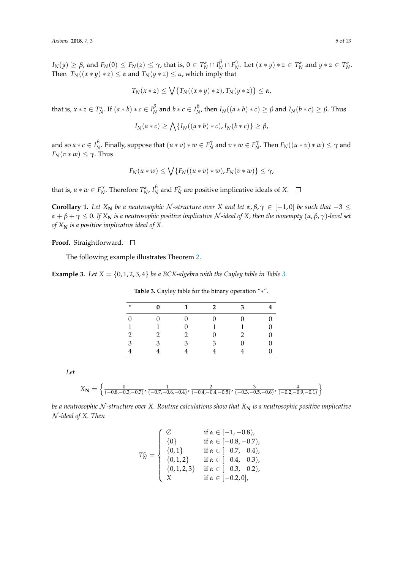$I_N(y) \ge \beta$ , and  $F_N(0) \le F_N(z) \le \gamma$ , that is,  $0 \in T_N^{\alpha} \cap I_N^{\beta} \cap F_N^{\gamma}$ . Let  $(x * y) * z \in T_N^{\alpha}$  and  $y * z \in T_N^{\alpha}$ . Then  $T_N((x * y) * z) \leq \alpha$  and  $T_N(y * z) \leq \alpha$ , which imply that

$$
T_N(x * z) \leq \bigvee \{T_N((x * y) * z), T_N(y * z)\} \leq \alpha,
$$

that is,  $x * z \in T_N^{\alpha}$ . If  $(a * b) * c \in I_N^{\beta}$  $\frac{\beta}{N}$  and  $b * c \in I_{N}^{\beta}$  $N$ , then  $I_N((a * b) * c) \geq \beta$  and  $I_N(b * c) \geq \beta$ . Thus

$$
I_N(a*c) \ge \bigwedge \{I_N((a*b)*c), I_N(b*c)\} \ge \beta,
$$

and so  $a * c \in I_{\Lambda}^{\beta}$ *f*<sub>*N*</sub>. Finally, suppose that  $(u * v) * w \in F_N^{\gamma}$  and  $v * w \in F_N^{\gamma}$ . Then  $F_N((u * v) * w) \leq \gamma$  and  $F_N(v*w) \leq \gamma$ . Thus

$$
F_N(u*w) \leq \bigvee \{F_N((u*v)*w), F_N(v*w)\} \leq \gamma,
$$

that is,  $u * w \in F_N^{\gamma}$ . Therefore  $T_N^{\alpha}$ ,  $I_N^{\beta}$  $\frac{\beta}{N}$  and  $F_N^{\gamma}$  are positive implicative ideals of *X*.

**Corollary 1.** Let  $X_N$  be a neutrosophic N-structure over  $X$  and let  $\alpha, \beta, \gamma \in [-1, 0]$  be such that  $-3 \leq$  $\alpha + \beta + \gamma \leq 0$ . If  $X_N$  *is a neutrosophic positive implicative*  $N$ -ideal of  $X$ , then the nonempty  $(\alpha, \beta, \gamma)$ -level set *of*  $X_N$  *is a positive implicative ideal of*  $X$ *.* 

#### **Proof.** Straightforward. □

The following example illustrates Theorem [2.](#page-3-2)

<span id="page-4-0"></span>**Example [3.](#page-4-0)** *Let*  $X = \{0, 1, 2, 3, 4\}$  *be a BCK-algebra with the Cayley table in Table 3.* 

| $\ast$        | 0 | $\mathbf 1$ | $\mathcal{D}$ | 3 |  |
|---------------|---|-------------|---------------|---|--|
|               |   |             |               |   |  |
| 1             |   |             |               |   |  |
| $\mathcal{D}$ | 2 | 2           |               |   |  |
| 3             | з | З           | 3             |   |  |
|               |   |             |               |   |  |

**Table 3.** Cayley table for the binary operation "∗".

*Let*

$$
X_{\mathbf{N}} = \left\{ \frac{0}{(-0.8, -0.3, -0.7)}, \frac{1}{(-0.7, -0.6, -0.4)}, \frac{2}{(-0.4, -0.4, -0.5)}, \frac{3}{(-0.3, -0.5, -0.6)}, \frac{4}{(-0.2, -0.9, -0.1)} \right\}
$$

*be a neutrosophic N*-structure over X. Routine calculations show that  $X_N$  is a neutrosophic positive implicative N *-ideal of X. Then*

$$
T_N^{\alpha} = \begin{cases} \varnothing & \text{if } \alpha \in [-1, -0.8), \\ \{0\} & \text{if } \alpha \in [-0.8, -0.7), \\ \{0, 1\} & \text{if } \alpha \in [-0.7, -0.4), \\ \{0, 1, 2\} & \text{if } \alpha \in [-0.4, -0.3), \\ \{0, 1, 2, 3\} & \text{if } \alpha \in [-0.3, -0.2), \\ X & \text{if } \alpha \in [-0.2, 0], \end{cases}
$$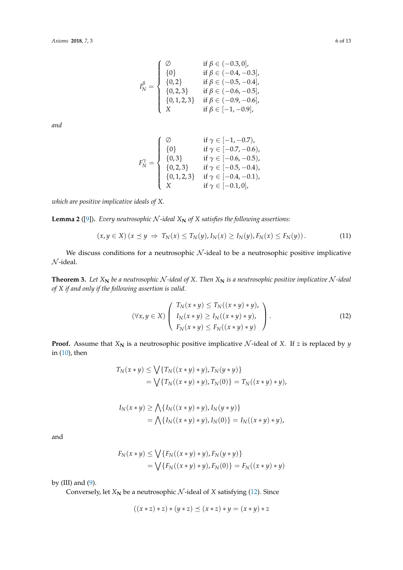$$
I_{N}^{\beta} = \left\{ \begin{array}{ll} \varnothing & \text{if } \beta \in (-0.3, 0], \\ \{0\} & \text{if } \beta \in (-0.4, -0.3], \\ \{0, 2\} & \text{if } \beta \in (-0.5, -0.4], \\ \{0, 2, 3\} & \text{if } \beta \in (-0.6, -0.5], \\ \{0, 1, 2, 3\} & \text{if } \beta \in (-0.9, -0.6], \\ X & \text{if } \beta \in [-1, -0.9], \end{array} \right.
$$

*and*

$$
F_N^{\gamma} = \left\{ \begin{array}{ll} \varnothing & \text{if } \gamma \in [-1, -0.7), \\ \{0\} & \text{if } \gamma \in [-0.7, -0.6), \\ \{0, 3\} & \text{if } \gamma \in [-0.6, -0.5), \\ \{0, 2, 3\} & \text{if } \gamma \in [-0.5, -0.4), \\ \{0, 1, 2, 3\} & \text{if } \gamma \in [-0.4, -0.1), \\ X & \text{if } \gamma \in [-0.1, 0], \end{array} \right.
$$

*which are positive implicative ideals of X.*

<span id="page-5-1"></span>**Lemma 2** ([\[9\]](#page-12-5)). *Every neutrosophic*  $N$ -ideal  $X_N$  of  $X$  satisfies the following assertions:

$$
(x, y \in X) (x \preceq y \Rightarrow T_N(x) \le T_N(y), I_N(x) \ge I_N(y), F_N(x) \le F_N(y)).
$$
\n(11)

We discuss conditions for a neutrosophic  $N$ -ideal to be a neutrosophic positive implicative  $N$ -ideal.

<span id="page-5-2"></span>**Theorem 3.** Let  $X_N$  be a neutrosophic  $N$ -ideal of  $X$ . Then  $X_N$  is a neutrosophic positive implicative  $N$ -ideal *of X if and only if the following assertion is valid.*

<span id="page-5-0"></span>
$$
(\forall x, y \in X) \left( \begin{array}{c} T_N(x * y) \le T_N((x * y) * y), \\ I_N(x * y) \ge I_N((x * y) * y), \\ F_N(x * y) \le F_N((x * y) * y) \end{array} \right). \tag{12}
$$

**Proof.** Assume that  $X_N$  is a neutrosophic positive implicative  $N$ -ideal of  $X$ . If  $z$  is replaced by  $y$ in  $(10)$ , then

$$
T_N(x * y) \le \bigvee \{ T_N((x * y) * y), T_N(y * y) \}
$$
  
=  $\bigvee \{ T_N((x * y) * y), T_N(0) \} = T_N((x * y) * y),$ 

$$
I_N(x * y) \ge \bigwedge \{I_N((x * y) * y), I_N(y * y)\}
$$
  
=  $\bigwedge \{I_N((x * y) * y), I_N(0)\} = I_N((x * y) * y),$ 

and

$$
F_N(x * y) \le \bigvee \{ F_N((x * y) * y), F_N(y * y) \}
$$
  
=  $\bigvee \{ F_N((x * y) * y), F_N(0) \} = F_N((x * y) * y)$ 

by  $(III)$  and  $(9)$ .

Conversely, let  $X_N$  be a neutrosophic  $N$ -ideal of  $X$  satisfying [\(12\)](#page-5-0). Since

$$
((x * z) * z) * (y * z) \preceq (x * z) * y = (x * y) * z
$$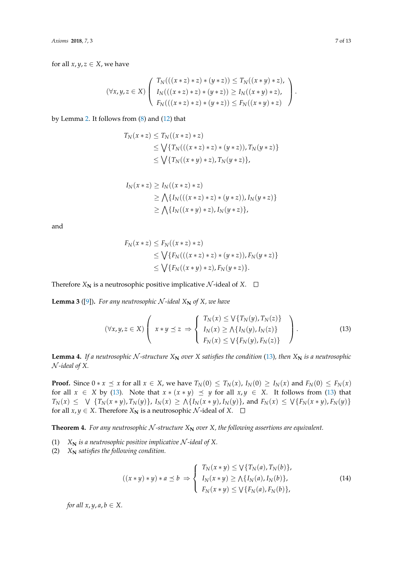for all  $x, y, z \in X$ , we have

$$
(\forall x, y, z \in X) \left( \begin{array}{c} T_N(((x * z) * z) * (y * z)) \le T_N((x * y) * z), \\ I_N(((x * z) * z) * (y * z)) \ge I_N((x * y) * z), \\ F_N(((x * z) * z) * (y * z)) \le F_N((x * y) * z) \end{array} \right).
$$

by Lemma [2.](#page-5-1) It follows from [\(8\)](#page-2-4) and [\(12\)](#page-5-0) that

$$
T_N(x * z) \le T_N((x * z) * z)
$$
  
\n
$$
\le \bigvee \{ T_N(((x * z) * z) * (y * z)), T_N(y * z) \}
$$
  
\n
$$
\le \bigvee \{ T_N((x * y) * z), T_N(y * z) \},
$$

$$
I_N(x * z) \ge I_N((x * z) * z)
$$
  
\n
$$
\ge \bigwedge \{I_N(((x * z) * z) * (y * z)), I_N(y * z)\}
$$
  
\n
$$
\ge \bigwedge \{I_N((x * y) * z), I_N(y * z)\},
$$

and

<span id="page-6-0"></span>
$$
F_N(x * z) \le F_N((x * z) * z)
$$
  
\n
$$
\le \bigvee \{ F_N(((x * z) * z) * (y * z)), F_N(y * z) \}
$$
  
\n
$$
\le \bigvee \{ F_N((x * y) * z), F_N(y * z) \}.
$$

Therefore  $X_N$  is a neutrosophic positive implicative  $N$ -ideal of  $X$ .  $\Box$ 

<span id="page-6-1"></span>**Lemma 3** ([\[9\]](#page-12-5)). For any neutrosophic  $N$ -ideal  $X_N$  of  $X$ , we have

$$
(\forall x, y, z \in X) \left( x \ast y \preceq z \Rightarrow \begin{cases} T_N(x) \leq \sqrt{T_N(y)}, T_N(z) \\ I_N(x) \geq \sqrt{T_N(y)}, I_N(z) \\ F_N(x) \leq \sqrt{T_N(y)}, F_N(z) \end{cases} \right). \tag{13}
$$

<span id="page-6-3"></span>**Lemma 4.** If a neutrosophic N-structure  $X_N$  over X satisfies the condition [\(13\)](#page-6-0), then  $X_N$  is a neutrosophic N *-ideal of X.*

**Proof.** Since  $0 * x \leq x$  for all  $x \in X$ , we have  $T_N(0) \leq T_N(x)$ ,  $I_N(0) \geq I_N(x)$  and  $F_N(0) \leq F_N(x)$ for all  $x \in X$  by [\(13\)](#page-6-0). Note that  $x * (x * y) \preceq y$  for all  $x, y \in X$ . It follows from (13) that  $T_N(x) \leq \sqrt{2\sqrt{2}} \{T_N(x*y),T_N(y)\}$ ,  $I_N(x) \geq \sqrt{2\sqrt{2}} \{I_N(x*y),I_N(y)\}$ , and  $F_N(x) \leq \sqrt{2\sqrt{2}} \{F_N(x*y),F_N(y)\}$ for all *x*, *y*  $\in$  *X*. Therefore *X*<sub>N</sub> is a neutrosophic *N*-ideal of *X*.  $\square$ 

<span id="page-6-4"></span>**Theorem 4.** For any neutrosophic N-structure  $X_N$  over X, the following assertions are equivalent.

- (1)  $X_N$  *is a neutrosophic positive implicative*  $N$ -ideal of X.
- (2)  $X_N$  *satisfies the following condition.*

<span id="page-6-2"></span>
$$
((x * y) * y) * a \preceq b \Rightarrow \begin{cases} T_N(x * y) \le \sqrt{T_N(a), T_N(b)}, \\ I_N(x * y) \ge \sqrt{T_N(a), I_N(b)}, \\ F_N(x * y) \le \sqrt{T_N(a), F_N(b)}, \end{cases}
$$
(14)

*for all*  $x, y, a, b \in X$ *.*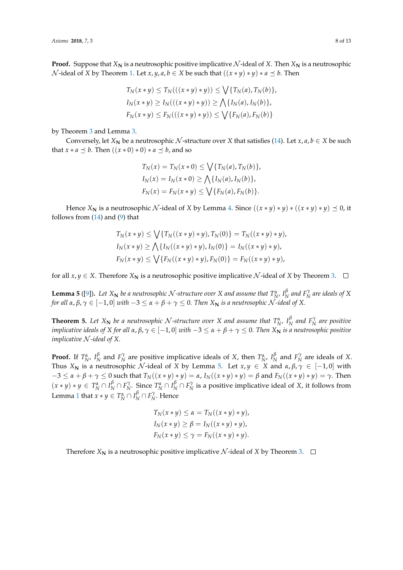**Proof.** Suppose that  $X_N$  is a neutrosophic positive implicative  $N$ -ideal of  $X$ . Then  $X_N$  is a neutrosophic N-ideal of *X* by Theorem [1.](#page-3-0) Let *x*, *y*, *a*, *b*  $\in$  *X* be such that  $((x * y) * y) * a \preceq b$ . Then

$$
T_N(x * y) \le T_N(((x * y) * y)) \le \bigvee \{T_N(a), T_N(b)\},
$$
  
\n
$$
I_N(x * y) \ge I_N(((x * y) * y)) \ge \bigwedge \{I_N(a), I_N(b)\},
$$
  
\n
$$
F_N(x * y) \le F_N(((x * y) * y)) \le \bigvee \{F_N(a), F_N(b)\}
$$

by Theorem [3](#page-5-2) and Lemma [3.](#page-6-1)

Conversely, let  $X_N$  be a neutrosophic  $N$ -structure over  $X$  that satisfies [\(14\)](#page-6-2). Let  $x, a, b \in X$  be such that  $x * a \preceq b$ . Then  $((x * 0) * 0) * a \preceq b$ , and so

$$
T_N(x) = T_N(x * 0) \le \bigvee \{ T_N(a), T_N(b) \},
$$
  
\n
$$
I_N(x) = I_N(x * 0) \ge \bigwedge \{ I_N(a), I_N(b) \},
$$
  
\n
$$
F_N(x) = F_N(x * y) \le \bigvee \{ F_N(a), F_N(b) \}.
$$

Hence *X***N** is a neutrosophic *N*-ideal of *X* by Lemma [4.](#page-6-3) Since  $((x * y) * y) * ((x * y) * y) \preceq 0$ , it follows from [\(14\)](#page-6-2) and [\(9\)](#page-2-3) that

$$
T_N(x * y) \le \bigvee \{ T_N((x * y) * y), T_N(0) \} = T_N((x * y) * y),
$$
  
\n
$$
I_N(x * y) \ge \bigwedge \{ I_N((x * y) * y), I_N(0) \} = I_N((x * y) * y),
$$
  
\n
$$
F_N(x * y) \le \bigvee \{ F_N((x * y) * y), F_N(0) \} = F_N((x * y) * y),
$$

for all  $x, y \in X$ . Therefore  $X_N$  is a neutrosophic positive implicative  $N$ -ideal of  $X$  by Theorem [3.](#page-5-2)  $\Box$ 

<span id="page-7-0"></span>**Lemma 5** ([\[9\]](#page-12-5)). Let  $X_N$  be a neutrosophic  $N$ -structure over  $X$  and assume that  $T_N^{\alpha}$ ,  $I_N^{\beta}$  $N \overline{P_N}$  *and*  $F_N^{\gamma}$  *are ideals of*  $X$ *for all*  $\alpha, \beta, \gamma \in [-1, 0]$  *with*  $-3 \leq \alpha + \beta + \gamma \leq 0$ . Then  $X_N$  *is a neutrosophic* N-*ideal of* X.

<span id="page-7-1"></span>**Theorem 5.** Let  $X_N$  be a neutrosophic N-structure over X and assume that  $T_N^{\alpha}$ ,  $I_N^{\beta}$  $N \overline{P}_N^{\beta}$  are positive *implicative ideals of X for all*  $\alpha, \beta, \gamma \in [-1, 0]$  *with*  $-3 \leq \alpha + \beta + \gamma \leq 0$ . Then  $X_N$  *is a neutrosophic positive implicative* N *-ideal of X.*

**Proof.** If  $T_N^{\alpha}$ ,  $I_N^{\beta}$ *N*<sup> $\beta$ </sup> and *F*<sup> $\gamma$ </sup><sub>*N*</sub> are positive implicative ideals of *X*, then  $T_N^{\alpha}$ ,  $I_N^{\beta}$  $N \nvert N$  and  $F_N^{\gamma}$  are ideals of *X*. Thus  $X_N$  is a neutrosophic N-ideal of X by Lemma [5.](#page-7-0) Let  $x, y \in X$  and  $\alpha, \beta, \gamma \in [-1, 0]$  with  $-3 \le \alpha + \beta + \gamma \le 0$  such that  $T_N((x * y) * y) = \alpha$ ,  $I_N((x * y) * y) = \beta$  and  $F_N((x * y) * y) = \gamma$ . Then  $f(x * y) * y \in T_N^{\alpha} \cap I_N^{\beta} \cap F_N^{\gamma}$ . Since  $T_N^{\alpha} \cap I_N^{\beta} \cap F_N^{\gamma}$  is a positive implicative ideal of X, it follows from Lemma [1](#page-1-2) that  $x * y \in T_N^{\alpha} \cap I_N^{\beta} \cap F_N^{\gamma}$ . Hence

$$
T_N(x * y) \le \alpha = T_N((x * y) * y),
$$
  
\n
$$
I_N(x * y) \ge \beta = I_N((x * y) * y),
$$
  
\n
$$
F_N(x * y) \le \gamma = F_N((x * y) * y).
$$

Therefore  $X_N$  is a neutrosophic positive implicative  $N$ -ideal of  $X$  by Theorem [3.](#page-5-2)  $\Box$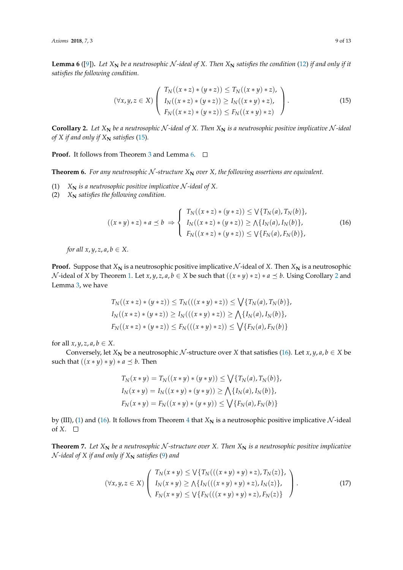<span id="page-8-1"></span>**Lemma 6** ([\[9\]](#page-12-5)). Let  $X_N$  be a neutrosophic N-ideal of X. Then  $X_N$  satisfies the condition [\(12\)](#page-5-0) if and only if it *satisfies the following condition.*

<span id="page-8-0"></span>
$$
(\forall x, y, z \in X) \left( \begin{array}{c} T_N((x * z) * (y * z)) \le T_N((x * y) * z), \\ I_N((x * z) * (y * z)) \ge I_N((x * y) * z), \\ F_N((x * z) * (y * z)) \le F_N((x * y) * z) \end{array} \right).
$$
\n(15)

<span id="page-8-2"></span>**Corollary 2.** Let  $X_N$  be a neutrosophic N-ideal of X. Then  $X_N$  is a neutrosophic positive implicative N-ideal *of X if and only if*  $X_N$  *satisfies* [\(15\)](#page-8-0).

**Proof.** It follows from Theorem [3](#page-5-2) and Lemma [6.](#page-8-1) □

**Theorem 6.** For any neutrosophic N-structure  $X_N$  over X, the following assertions are equivalent.

- (1)  $X_N$  *is a neutrosophic positive implicative*  $N$ -ideal of X.
- (2)  $X_N$  *satisfies the following condition.*

<span id="page-8-3"></span>
$$
((x * y) * z) * a \preceq b \Rightarrow \begin{cases} T_N((x * z) * (y * z)) \le \sqrt{T_N(a)}, T_N(b), \\ I_N((x * z) * (y * z)) \ge \sqrt{T_N(a)}, I_N(b), \\ F_N((x * z) * (y * z)) \le \sqrt{T_N(a)}, F_N(b), \end{cases}
$$
(16)

*for all x*,  $y$ ,  $z$ ,  $a$ ,  $b \in X$ .

**Proof.** Suppose that  $X_N$  is a neutrosophic positive implicative N-ideal of X. Then  $X_N$  is a neutrosophic *N*-ideal of *X* by Theorem [1.](#page-3-0) Let *x*, *y*, *z*, *a*, *b* ∈ *X* be such that  $((x * y) * z) * a ≤ b$ . Using Corollary [2](#page-8-2) and Lemma [3,](#page-6-1) we have

$$
T_N((x * z) * (y * z)) \le T_N(((x * y) * z)) \le \sqrt{\{T_N(a), T_N(b)\}},
$$
  
\n
$$
I_N((x * z) * (y * z)) \ge I_N(((x * y) * z)) \ge \sqrt{\{I_N(a), I_N(b)\}},
$$
  
\n
$$
F_N((x * z) * (y * z)) \le F_N(((x * y) * z)) \le \sqrt{\{F_N(a), F_N(b)\}}
$$

for all  $x, y, z, a, b \in X$ .

Conversely, let  $X_N$  be a neutrosophic  $N$ -structure over  $X$  that satisfies [\(16\)](#page-8-3). Let  $x, y, a, b \in X$  be such that  $((x * y) * y) * a \preceq b$ . Then

$$
T_N(x * y) = T_N((x * y) * (y * y)) \le \bigvee \{T_N(a), T_N(b)\},
$$
  
\n
$$
I_N(x * y) = I_N((x * y) * (y * y)) \ge \bigwedge \{I_N(a), I_N(b)\},
$$
  
\n
$$
F_N(x * y) = F_N((x * y) * (y * y)) \le \bigvee \{F_N(a), F_N(b)\}
$$

by (III), [\(1\)](#page-1-1) and [\(16\)](#page-8-3). It follows from Theorem [4](#page-6-4) that  $X_N$  is a neutrosophic positive implicative  $N$ -ideal of *X*.  $\square$ 

**Theorem 7.** Let  $X_N$  be a neutrosophic N-structure over X. Then  $X_N$  is a neutrosophic positive implicative  $\mathcal{N}$ -ideal of X if and only if  $X_N$  satisfies [\(9\)](#page-2-3) and

<span id="page-8-4"></span>
$$
(\forall x, y, z \in X) \left( \begin{array}{c} T_N(x * y) \le \sqrt{T_N(((x * y) * y) * z)}, T_N(z) \}, \\ I_N(x * y) \ge \sqrt{T_N(((x * y) * y) * z)}, I_N(z) \}, \\ F_N(x * y) \le \sqrt{T_N(((x * y) * y) * z)}, F_N(z) \} \end{array} \right). \tag{17}
$$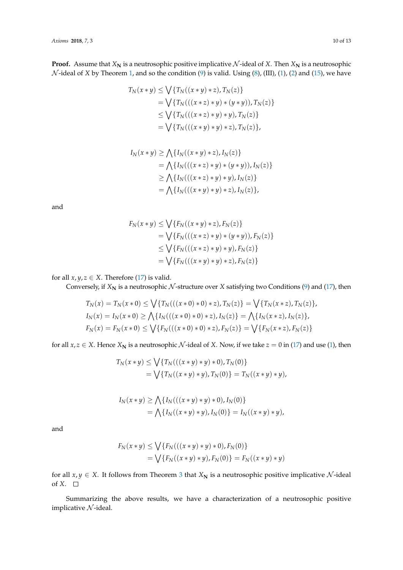**Proof.** Assume that  $X_N$  is a neutrosophic positive implicative  $N$ -ideal of  $X$ . Then  $X_N$  is a neutrosophic  $\mathcal N$ -ideal of  $X$  by Theorem [1,](#page-3-0) and so the condition [\(9\)](#page-2-3) is valid. Using [\(8\)](#page-2-4), (III), [\(1\)](#page-1-1), [\(2\)](#page-1-1) and [\(15\)](#page-8-0), we have

$$
T_N(x * y) \le \bigvee \{ T_N((x * y) * z), T_N(z) \}
$$
  
=  $\bigvee \{ T_N(((x * z) * y) * (y * y)), T_N(z) \}$   
 $\le \bigvee \{ T_N(((x * z) * y) * y), T_N(z) \}$   
=  $\bigvee \{ T_N(((x * y) * y) * z), T_N(z) \},$ 

$$
I_N(x * y) \ge \bigwedge \{I_N((x * y) * z), I_N(z)\}
$$
  
=  $\bigwedge \{I_N(((x * z) * y) * (y * y)), I_N(z)\}$   
 $\ge \bigwedge \{I_N(((x * z) * y) * y), I_N(z)\}$   
=  $\bigwedge \{I_N(((x * y) * y) * z), I_N(z)\},\$ 

and

$$
F_N(x * y) \le \bigvee \{ F_N((x * y) * z), F_N(z) \}
$$
  
=  $\bigvee \{ F_N(((x * z) * y) * (y * y)), F_N(z) \}$   
 $\le \bigvee \{ F_N(((x * z) * y) * y), F_N(z) \}$   
=  $\bigvee \{ F_N(((x * y) * y) * z), F_N(z) \}$ 

for all  $x, y, z \in X$ . Therefore [\(17\)](#page-8-4) is valid.

Conversely, if  $X_N$  is a neutrosophic  $N$ -structure over  $X$  satisfying two Conditions [\(9\)](#page-2-3) and [\(17\)](#page-8-4), then

$$
T_N(x) = T_N(x * 0) \le \bigvee \{ T_N(((x * 0) * 0) * z), T_N(z) \} = \bigvee \{ T_N(x * z), T_N(z) \},
$$
  
\n
$$
I_N(x) = I_N(x * 0) \ge \bigwedge \{ I_N(((x * 0) * 0) * z), I_N(z) \} = \bigwedge \{ I_N(x * z), I_N(z) \},
$$
  
\n
$$
F_N(x) = F_N(x * 0) \le \bigvee \{ F_N(((x * 0) * 0) * z), F_N(z) \} = \bigvee \{ F_N(x * z), F_N(z) \}
$$

for all  $x, z \in X$ . Hence  $X_N$  is a neutrosophic  $\mathcal N$ -ideal of  $X$ . Now, if we take  $z = 0$  in [\(17\)](#page-8-4) and use [\(1\)](#page-1-1), then

$$
T_N(x * y) \le \bigvee \{ T_N(((x * y) * y) * 0), T_N(0) \}
$$
  
=  $\bigvee \{ T_N((x * y) * y), T_N(0) \} = T_N((x * y) * y),$ 

$$
I_N(x * y) \ge \bigwedge \{I_N(((x * y) * y) * 0), I_N(0)\}
$$
  
=  $\bigwedge \{I_N((x * y) * y), I_N(0)\} = I_N((x * y) * y),$ 

and

$$
F_N(x * y) \le \bigvee \{ F_N(((x * y) * y) * 0), F_N(0) \}
$$
  
=  $\bigvee \{ F_N((x * y) * y), F_N(0) \} = F_N((x * y) * y)$ 

for all  $x, y \in X$ . It follows from Theorem [3](#page-5-2) that  $X_N$  is a neutrosophic positive implicative  $N$ -ideal of *X*.

Summarizing the above results, we have a characterization of a neutrosophic positive implicative  $N$ -ideal.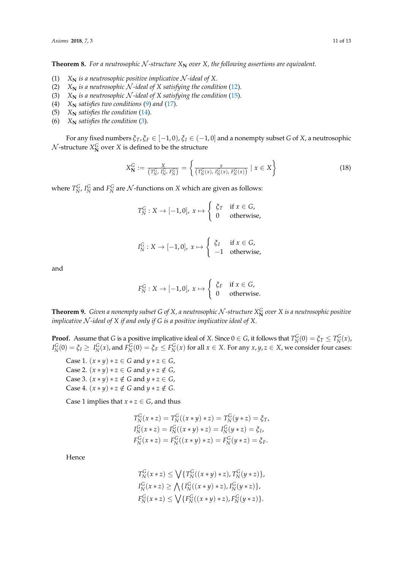**Theorem 8.** For a neutrosophic N-structure  $X_N$  over X, the following assertions are equivalent.

- (1)  $X_N$  *is a neutrosophic positive implicative*  $N$ -ideal of X.
- (2)  $X_N$  *is a neutrosophic*  $N$ -ideal of  $X$  satisfying the condition [\(12\)](#page-5-0).
- (3)  $X_N$  *is a neutrosophic*  $N$ -ideal of  $X$  satisfying the condition [\(15\)](#page-8-0).
- (4)  $X_N$  *satisfies two conditions* [\(9\)](#page-2-3) *and* [\(17\)](#page-8-4)*.*
- (5)  $X_N$  *satisfies the condition* [\(14\)](#page-6-2).
- (6)  $X_N$  *satisfies the condition* [\(3\)](#page-5-2).

For any fixed numbers  $\xi_T$ ,  $\xi_F \in [-1, 0)$ ,  $\xi_I \in (-1, 0]$  and a nonempty subset *G* of *X*, a neutrosophic  $\mathcal{N}$ -structure  $X_{\mathbf{N}}^G$  over  $X$  is defined to be the structure

$$
X_{\mathbf{N}}^{G} := \frac{X}{(T_{N'}^{G}, I_{N'}^{G}, F_{N}^{G})} = \left\{ \frac{x}{(T_{N}^{G}(x), I_{N}^{G}(x), F_{N}^{G}(x))} \mid x \in X \right\}
$$
(18)

where  $T_N^G$ ,  $I_N^G$  and  $F_N^G$  are  $\mathcal N$ -functions on  $X$  which are given as follows:

$$
T_N^G: X \to [-1,0], x \mapsto \begin{cases} \xi_T & \text{if } x \in G, \\ 0 & \text{otherwise,} \end{cases}
$$

$$
I_N^G: X \to [-1,0], x \mapsto \begin{cases} \xi_I & \text{if } x \in G, \\ -1 & \text{otherwise,} \end{cases}
$$

and

$$
F_N^G: X \to [-1,0], x \mapsto \begin{cases} \xi_F & \text{if } x \in G, \\ 0 & \text{otherwise.} \end{cases}
$$

**Theorem 9.** *Given a nonempty subset G of X, a neutrosophic*  $\cal N$ *-structure*  $X^G_{\bf N}$  *over X is a neutrosophic positive implicative* N *-ideal of X if and only if G is a positive implicative ideal of X.*

**Proof.** Assume that *G* is a positive implicative ideal of *X*. Since  $0 \in G$ , it follows that  $T_N^G(0) = \xi_T \le T_N^G(x)$ ,  $I_N^G(0) = \xi_I \ge I_N^G(x)$ , and  $F_N^G(0) = \xi_F \le F_N^G(x)$  for all  $x \in X$ . For any  $x, y, z \in X$ , we consider four cases:

Case 1.  $(x * y) * z ∈ G$  and  $y * z ∈ G$ , Case 2.  $(x * y) * z \in G$  and  $y * z \notin G$ , Case 3.  $(x * y) * z \notin G$  and  $y * z \in G$ , Case 4.  $(x * y) * z \notin G$  and  $y * z \notin G$ .

Case 1 implies that  $x * z \in G$ , and thus

$$
T_N^G(x * z) = T_N^G((x * y) * z) = T_N^G(y * z) = \xi_T,
$$
  
\n
$$
I_N^G(x * z) = I_N^G((x * y) * z) = I_N^G(y * z) = \xi_I,
$$
  
\n
$$
F_N^G(x * z) = F_N^G((x * y) * z) = F_N^G(y * z) = \xi_F.
$$

Hence

$$
T_N^G(x * z) \le \bigvee \{ T_N^G((x * y) * z), T_N^G(y * z) \},
$$
  
\n
$$
I_N^G(x * z) \ge \bigwedge \{ I_N^G((x * y) * z), I_N^G(y * z) \},
$$
  
\n
$$
F_N^G(x * z) \le \bigvee \{ F_N^G((x * y) * z), F_N^G(y * z) \}.
$$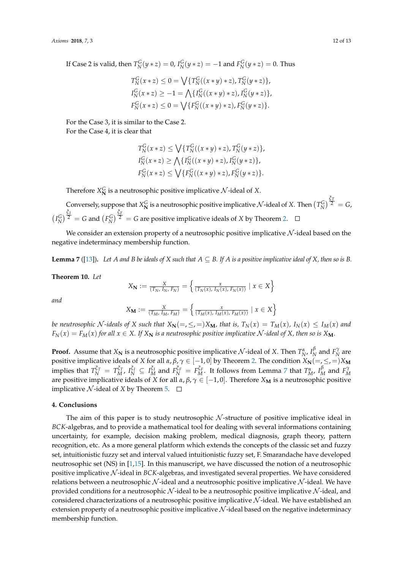If Case 2 is valid, then  $T_N^G(y * z) = 0$ ,  $I_N^G(y * z) = -1$  and  $F_N^G(y * z) = 0$ . Thus

$$
T_N^G(x * z) \le 0 = \sqrt{\{T_N^G((x * y) * z), T_N^G(y * z)\}},
$$
  
\n
$$
T_N^G(x * z) \ge -1 = \sqrt{\{T_N^G((x * y) * z), T_N^G(y * z)\}},
$$
  
\n
$$
T_N^G(x * z) \le 0 = \sqrt{\{F_N^G((x * y) * z), F_N^G(y * z)\}}.
$$

For the Case 3, it is similar to the Case 2.

For the Case 4, it is clear that

$$
T_N^G(x * z) \le \bigvee \{ T_N^G((x * y) * z), T_N^G(y * z) \},
$$
  
\n
$$
I_N^G(x * z) \ge \bigwedge \{ I_N^G((x * y) * z), I_N^G(y * z) \},
$$
  
\n
$$
F_N^G(x * z) \le \bigvee \{ F_N^G((x * y) * z), F_N^G(y * z) \}.
$$

Therefore  $X_{\mathbf{N}}^G$  is a neutrosophic positive implicative  $\mathcal{N}\text{-ideal}$  of  $X$ .

Conversely, suppose that  $X^G_N$  is a neutrosophic positive implicative  $\mathcal N$ -ideal of  $X$ . Then  $\left(T^G_N\right)^{\frac{\tilde{G}T}{2}}=G$ ,  $(I_N^G)^{\frac{G_I}{2}} = G$  and  $(I_N^G)^{\frac{G_F}{2}} = G$  are positive implicative ideals of *X* by Theorem [2.](#page-3-2)

We consider an extension property of a neutrosophic positive implicative  $\mathcal N$ -ideal based on the negative indeterminacy membership function.

<span id="page-11-0"></span>**Lemma 7** ([\[13\]](#page-12-9)). Let *A* and *B* be ideals of *X* such that  $A \subseteq B$ . If *A* is a positive implicative ideal of *X*, then so is *B*.

**Theorem 10.** *Let*

$$
X_{\mathbf{N}} := \frac{X}{(T_N, I_N, F_N)} = \left\{ \frac{x}{(T_N(x), I_N(x), F_N(x))} \mid x \in X \right\}
$$

*and*

$$
X_{\mathbf{M}} := \frac{X}{(T_M, I_M, F_M)} = \left\{ \frac{x}{(T_M(x), I_M(x), F_M(x))} \mid x \in X \right\}
$$

be neutrosophic N-ideals of X such that  $X_N(=\,,\leq,\,=)X_M$ , that is,  $T_N(x) = T_M(x)$ ,  $I_N(x) \leq I_M(x)$  and  $F_N(x) = F_M(x)$  *for all*  $x \in X$ *.* If  $X_N$  *is a neutrosophic positive implicative* N *-ideal of* X, then so is  $X_M$ .

**Proof.** Assume that  $X_N$  is a neutrosophic positive implicative  $N$ -ideal of  $X$ . Then  $T_N^{\alpha}$ ,  $I_N^{\beta}$  $\frac{\beta}{N}$  and  $F_N^{\gamma}$  are  $\alpha$  positive implicative ideals of *X* for all *α*, *β*,  $\gamma \in [-1,0]$  by Theorem [2.](#page-3-2) The condition  $X_{\mathbf{N}}(=,\leq,=)X_{\mathbf{M}}$ implies that  $T_N^{\xi_T} = T_M^{\xi_T}$ ,  $I_N^{\xi_I} \subseteq I_M^{\xi_I}$  and  $F_N^{\xi_F} = F_M^{\xi_F}$ . It follows from Lemma [7](#page-11-0) that  $T_M^{\alpha}$ ,  $I_M^{\beta}$  and  $F_M^{\gamma}$  are positive implicative ideals of X for all  $\alpha, \beta, \gamma \in [-1, 0]$ . Therefore  $X_M$  is a n implicative  $\mathcal N$ -ideal of *X* by Theorem [5.](#page-7-1)  $\Box$ 

#### **4. Conclusions**

The aim of this paper is to study neutrosophic  $N$ -structure of positive implicative ideal in *BCK*-algebras, and to provide a mathematical tool for dealing with several informations containing uncertainty, for example, decision making problem, medical diagnosis, graph theory, pattern recognition, etc. As a more general platform which extends the concepts of the classic set and fuzzy set, intuitionistic fuzzy set and interval valued intuitionistic fuzzy set, F. Smarandache have developed neutrosophic set (NS) in [\[1,](#page-12-0)[15\]](#page-12-11). In this manuscript, we have discussed the notion of a neutrosophic positive implicative N -ideal in *BCK*-algebras, and investigated several properties. We have considered relations between a neutrosophic  $N$ -ideal and a neutrosophic positive implicative  $N$ -ideal. We have provided conditions for a neutrosophic  $N$ -ideal to be a neutrosophic positive implicative  $N$ -ideal, and considered characterizations of a neutrosophic positive implicative  $N$ -ideal. We have established an extension property of a neutrosophic positive implicative  $N$ -ideal based on the negative indeterminacy membership function.